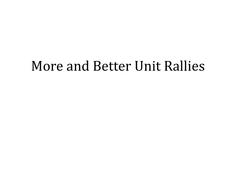#### More and Better Unit Rallies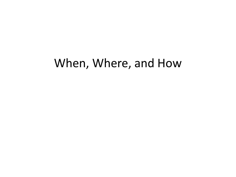#### When, Where, and How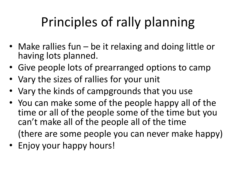# Principles of rally planning

- Make rallies fun be it relaxing and doing little or having lots planned.
- Give people lots of prearranged options to camp
- Vary the sizes of rallies for your unit
- Vary the kinds of campgrounds that you use
- You can make some of the people happy all of the time or all of the people some of the time but you can't make all of the people all of the time (there are some people you can never make happy)
- Enjoy your happy hours!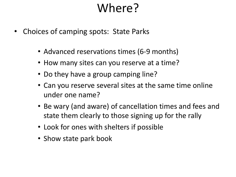- Choices of camping spots: State Parks
	- Advanced reservations times (6-9 months)
	- How many sites can you reserve at a time?
	- Do they have a group camping line?
	- Can you reserve several sites at the same time online under one name?
	- Be wary (and aware) of cancellation times and fees and state them clearly to those signing up for the rally
	- Look for ones with shelters if possible
	- Show state park book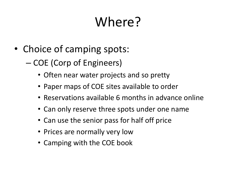- Choice of camping spots:
	- COE (Corp of Engineers)
		- Often near water projects and so pretty
		- Paper maps of COE sites available to order
		- Reservations available 6 months in advance online
		- Can only reserve three spots under one name
		- Can use the senior pass for half off price
		- Prices are normally very low
		- Camping with the COE book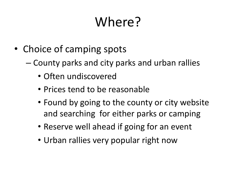- Choice of camping spots
	- County parks and city parks and urban rallies
		- Often undiscovered
		- Prices tend to be reasonable
		- Found by going to the county or city website and searching for either parks or camping
		- Reserve well ahead if going for an event
		- Urban rallies very popular right now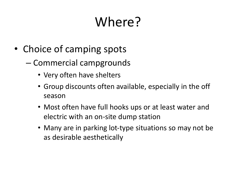- Choice of camping spots
	- Commercial campgrounds
		- Very often have shelters
		- Group discounts often available, especially in the off season
		- Most often have full hooks ups or at least water and electric with an on-site dump station
		- Many are in parking lot-type situations so may not be as desirable aesthetically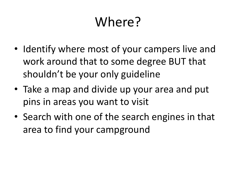- Identify where most of your campers live and work around that to some degree BUT that shouldn't be your only guideline
- Take a map and divide up your area and put pins in areas you want to visit
- Search with one of the search engines in that area to find your campground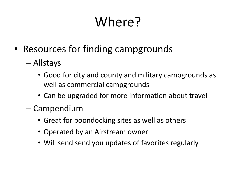- Resources for finding campgrounds
	- Allstays
		- Good for city and county and military campgrounds as well as commercial campgrounds
		- Can be upgraded for more information about travel
	- Campendium
		- Great for boondocking sites as well as others
		- Operated by an Airstream owner
		- Will send send you updates of favorites regularly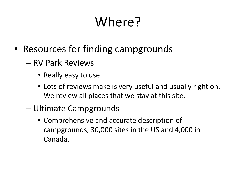- Resources for finding campgrounds
	- RV Park Reviews
		- Really easy to use.
		- Lots of reviews make is very useful and usually right on. We review all places that we stay at this site.
	- Ultimate Campgrounds
		- Comprehensive and accurate description of campgrounds, 30,000 sites in the US and 4,000 in Canada.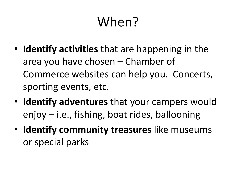# When?

- **Identify activities** that are happening in the area you have chosen – Chamber of Commerce websites can help you. Concerts, sporting events, etc.
- **Identify adventures** that your campers would enjoy – i.e., fishing, boat rides, ballooning
- **Identify community treasures** like museums or special parks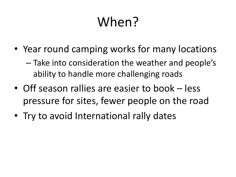# When?

• Year round camping works for many locations

– Take into consideration the weather and people's ability to handle more challenging roads

- Off season rallies are easier to book less pressure for sites, fewer people on the road
- Try to avoid International rally dates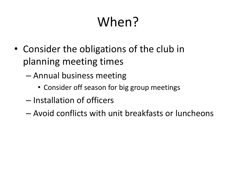# When?

- Consider the obligations of the club in planning meeting times
	- Annual business meeting
		- Consider off season for big group meetings
	- Installation of officers
	- Avoid conflicts with unit breakfasts or luncheons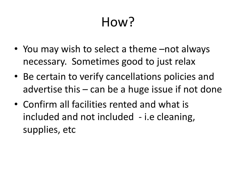- You may wish to select a theme –not always necessary. Sometimes good to just relax
- Be certain to verify cancellations policies and advertise this  $-$  can be a huge issue if not done
- Confirm all facilities rented and what is included and not included - i.e cleaning, supplies, etc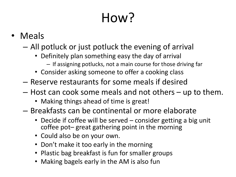- Meals
	- All potluck or just potluck the evening of arrival
		- Definitely plan something easy the day of arrival
			- If assigning potlucks, not a main course for those driving far
		- Consider asking someone to offer a cooking class
	- Reserve restaurants for some meals if desired
	- Host can cook some meals and not others up to them.
		- Making things ahead of time is great!
	- Breakfasts can be continental or more elaborate
		- Decide if coffee will be served consider getting a big unit coffee pot– great gathering point in the morning
		- Could also be on your own.
		- Don't make it too early in the morning
		- Plastic bag breakfast is fun for smaller groups
		- Making bagels early in the AM is also fun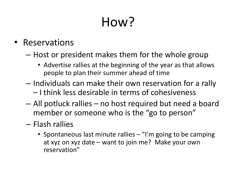#### • Reservations

- Host or president makes them for the whole group
	- Advertise rallies at the beginning of the year as that allows people to plan their summer ahead of time
- Individuals can make their own reservation for a rally – I think less desirable in terms of cohesiveness
- All potluck rallies no host required but need a board member or someone who is the "go to person"
- Flash rallies
	- Spontaneous last minute rallies "I'm going to be camping at xyz on xyz date – want to join me? Make your own reservation"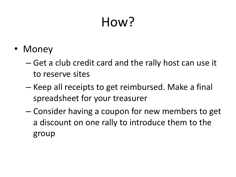- Money
	- Get a club credit card and the rally host can use it to reserve sites
	- Keep all receipts to get reimbursed. Make a final spreadsheet for your treasurer
	- Consider having a coupon for new members to get a discount on one rally to introduce them to the group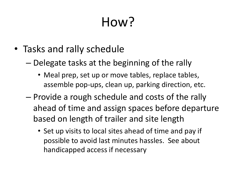- Tasks and rally schedule
	- Delegate tasks at the beginning of the rally
		- Meal prep, set up or move tables, replace tables, assemble pop-ups, clean up, parking direction, etc.
	- Provide a rough schedule and costs of the rally ahead of time and assign spaces before departure based on length of trailer and site length
		- Set up visits to local sites ahead of time and pay if possible to avoid last minutes hassles. See about handicapped access if necessary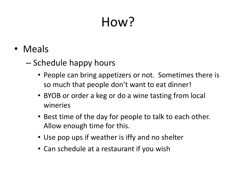- Meals
	- Schedule happy hours
		- People can bring appetizers or not. Sometimes there is so much that people don't want to eat dinner!
		- BYOB or order a keg or do a wine tasting from local wineries
		- Best time of the day for people to talk to each other. Allow enough time for this.
		- Use pop ups if weather is iffy and no shelter
		- Can schedule at a restaurant if you wish